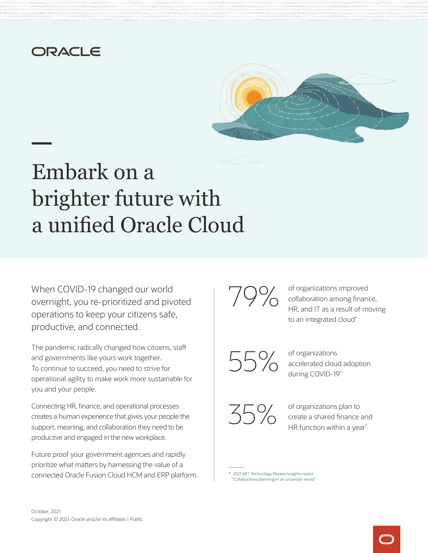## ORACLE



# Embark on a brighter future with a unified Oracle Cloud

When COVID-19 changed our world overnight, you re-prioritized and pivoted operations to keep your citizens safe, productive, and connected.

The pandemic radically changed how citizens, staff and governments like yours work together. To continue to succeed, you need to strive for operational agility to make work more sustainable for you and your people.

Connecting HR, finance, and operational processes creates a human experience that gives your people the support, meaning, and collaboration they need to be productive and engaged in the new workplace.

Future proof your government agencies and rapidly prioritize what matters by harnessing the value of a connected Oracle Fusion Cloud HCM and ERP platform. 79%

of organizations improved collaboration among finance, HR, and IT as a result of moving to an integrated cloud\*

55%

of organizations accelerated cloud adoption during COVID-19\*

35%

of organizations plan to create a shared finance and HR function within a year<sup>\*</sup>

\* [2021 MIT Technology Review Insights report:](https://explore.oracle.com/finance-hr-unified-solution/mit-ent-planning)  ["Collaborative planning in an uncertain world"](https://explore.oracle.com/finance-hr-unified-solution/mit-ent-planning)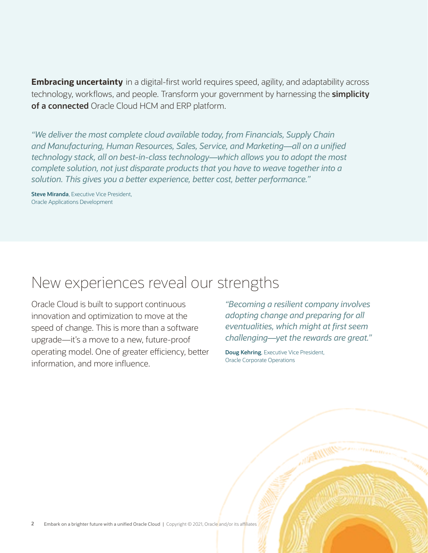**Embracing uncertainty** in a digital-first world requires speed, agility, and adaptability across technology, workflows, and people. Transform your government by harnessing the **simplicity of a connected** Oracle Cloud HCM and ERP platform.

*"We deliver the most complete cloud available today, from Financials, Supply Chain and Manufacturing, Human Resources, Sales, Service, and Marketing—all on a unified technology stack, all on best-in-class technology—which allows you to adopt the most complete solution, not just disparate products that you have to weave together into a solution. This gives you a better experience, better cost, better performance."*

**Steve Miranda**, Executive Vice President, Oracle Applications Development

## New experiences reveal our strengths

 Oracle Corporate Operations information, and more influence. Oracle Cloud is built to support continuous *"Becoming a resilient company involves*  innovation and optimization to move at the *adopting change and preparing for all*  speed of change. This is more than a software *eventualities, which might at first seem* upgrade—it's a move to a new, future-proof *challenging—yet the rewards are great."* operating model. One of greater efficiency, better **Doug Kehring**, Executive Vice President,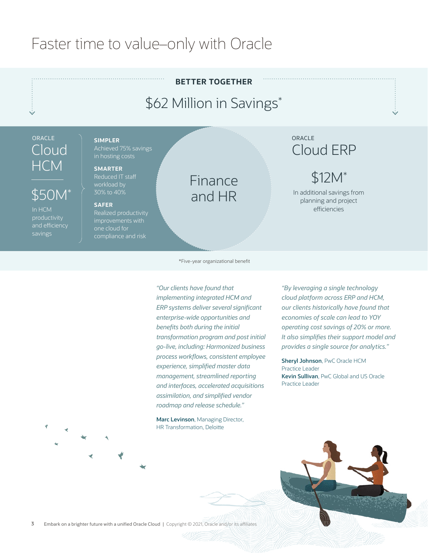# Faster time to value–only with Oracle

# **BETTER TOGETHER**

# \$62 Million in Savings\*

# ORACLE **SIMPLER**  HCM **SMARTER**

## $$50M^*$

 $\bigcap$ QUI $\bigcap$  | Achieved 75% savings in hosting costs

workload by<br>30% to 40%

### **SAFER**

In HCM Realized productivity<br>
productivity improvements with<br>
savings compliance and risk<br>
compliance and risk

## Finance and HR

## ORACLE Cloud ERP

# \$12M\*

In additional savings from planning and project efficiencies

### \*Five-year organizational benefit

*"Our clients have found that "By leveraging a single technology implementing integrated HCM and cloud platform across ERP and HCM, enterprise-wide opportunities and economies of scale can lead to YOY go-live, including: Harmonized business provides a single source for analytics." process workflows, consistent employee* **Sheryl Johnson**, PwC Oracle HCM *experience, simplified master data* Practice Leader *management, streamlined reporting* **Kevin Sullivan**, PwC Global and US Oracle Practice Leader *and interfaces, accelerated acquisitions assimilation, and simplified vendor roadmap and release schedule."*

**Marc Levinson**, Managing Director, HR Transformation, Deloitte

*ERP systems deliver several significant our clients historically have found that benefits both during the initial operating cost savings of 20% or more. transformation program and post initial It also simplifies their support model and* 

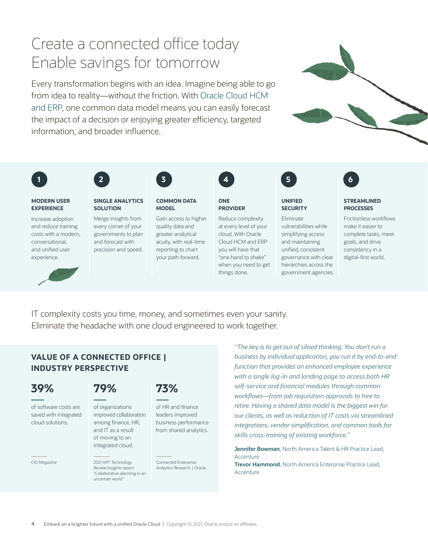# Create a connected office today Enable savings for tomorrow

Every transformation begins with an idea. Imagine being able to go from idea to reality—without the friction. With [Oracle Cloud HCM](https://www.oracle.com/human-capital-management/solutions/hcm-and-erp/)  [and ERP,](https://www.oracle.com/human-capital-management/solutions/hcm-and-erp/) one common data model means you can easily forecast the impact of a decision or enjoying greater efficiency, targeted information, and broader influence.





experience.





### **MODERN USER SINGLE ANALYTICS COMMON DATA ONE UNIFIED STREAMLINED EXPERIENCE SOLUTION MODEL PROVIDER SECURITY PROCESSES**



and reduce training every corner of your quality data and at every level of your vulnerabilities while make it easier to costs with a modern, governments to plan greater analytical cloud. With Oracle simplifying access complete tasks, meet conversational, and forecast with acuity, with real-time Cloud HCM and ERP and maintaining goals, and drive and unified user precision and speed. reporting to chart you will have that unified, consistent consistency in a your path forward. "one hand to shake" governance with clear digital-first world. when you need to get hierarchies across the things done. government agencies.



Increase adoption Merge insights from Gain access to higher Reduce complexity Eliminate Frictionless workflows

IT complexity costs you time, money, and sometimes even your sanity. Eliminate the headache with one cloud engineered to work together.

"Collaborative planning in an uncertain world"

*"The key is to get out of siloed thinking. You don't run a*  **VALUE OF A CONNECTED OFFICE |** *business by individual application, you run it by end-to-end function that provides an enhanced employee experience* **INDUSTRY PERSPECTIVE**  *with a single log-in and landing page to access both HR self-service and financial modules through common* **39% 79% 73%**  *workflows—from job requisition approvals to hire to*  of software costs are of organizations of HR and finance *retire. Having a shared data model is the biggest win for*  saved with integrated improved collaboration leaders improved *our clients, as well as reduction of IT costs via streamlined*<br>
cloud solutions. among finance, HR, business performance among finance, HR, business performance<br>and IT as a result from shared analytics.<br>of moving to an<br>skills cross-training of existing workforce."

> integrated cloud. **Jennifer Bowman**, North America Talent & HR Practice Lead, **Accenture**

*CIO Magazine* 2021 *MIT Technology* Connected Enterprise: **Trevor Hammond**, North America Enterprise Practice Lead, *Review* Insights report: Analytics Research | Oracle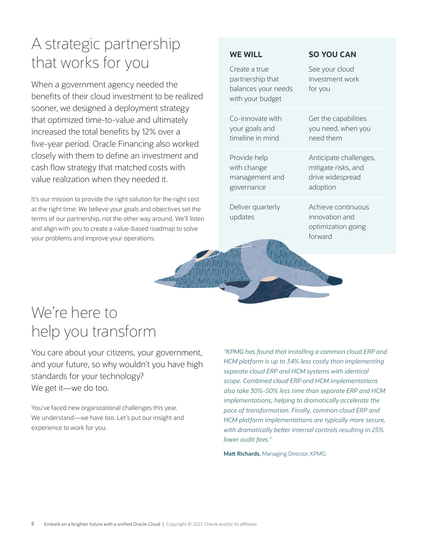# A strategic partnership that works for you

When a government agency needed the benefits of their cloud investment to be realized sooner, we designed a deployment strategy that optimized time-to-value and ultimately increased the total benefits by 12% over a five-year period. Oracle Financing also worked closely with them to define an investment and cash flow strategy that matched costs with value realization when they needed it.

It's our mission to provide the right solution for the right cost at the right time. We believe your goals and objectives set the terms of our partnership, not the other way around. We'll listen and align with you to create a value-based roadmap to solve your problems and improve your operations.

## **WE WILL**

| Create a true<br>partnership that<br>balances your needs<br>with your budget | See your cloud<br>investment work<br>for you |
|------------------------------------------------------------------------------|----------------------------------------------|
| Co-innovate with                                                             | Get the capabilities                         |
| your goals and                                                               | you need, when you                           |
| timeline in mind                                                             | need them                                    |
| Provide help                                                                 | Anticipate challenges,                       |
| with change                                                                  | mitigate risks, and                          |
| management and                                                               | drive widespread                             |
| governance                                                                   | adoption                                     |
| Deliver quarterly                                                            | Achieve continuous                           |
| updates                                                                      | innovation and                               |
| AN <sub>R</sub>                                                              | optimization going                           |
| k                                                                            | forward                                      |

**SO YOU CAN** 

# We're here to help you transform

You care about your citizens, your government, and your future, so why wouldn't you have high standards for your technology? We get it—we do too.

You've faced new organizational challenges this year. We understand—we have too. Let's put our insight and experience to work for you.

*"KPMG has found that installing a common cloud ERP and HCM platform is up to 34% less costly than implementing separate cloud ERP and HCM systems with identical scope. Combined cloud ERP and HCM implementations also take 30%-50% less time than separate ERP and HCM implementations, helping to dramatically accelerate the pace of transformation. Finally, common cloud ERP and HCM platform implementations are typically more secure, with dramatically better internal controls resulting in 25% lower audit fees."* 

**Matt Richards**, Managing Director, KPMG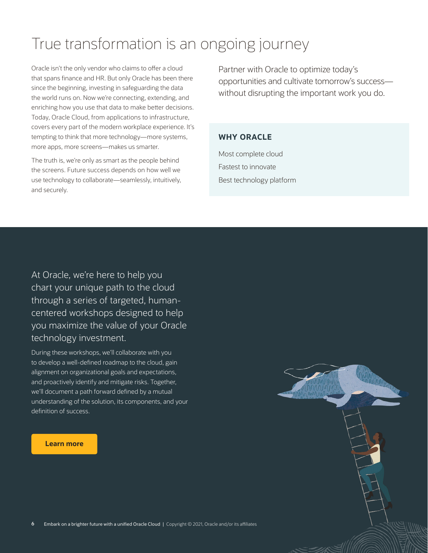# True transformation is an ongoing journey

 covers every part of the modern workplace experience. It's Oracle isn't the only vendor who claims to offer a cloud that spans finance and HR. But only Oracle has been there since the beginning, investing in safeguarding the data the world runs on. Now we're connecting, extending, and enriching how you use that data to make better decisions. Today, Oracle Cloud, from applications to infrastructure, tempting to think that more technology—more systems, more apps, more screens—makes us smarter.

The truth is, we're only as smart as the people behind the screens. Future success depends on how well we use technology to collaborate—seamlessly, intuitively, and securely.

 opportunities and cultivate tomorrow's success— Partner with Oracle to optimize today's without disrupting the important work you do.

## **WHY ORACLE**

 Best technology platform Most complete cloud Fastest to innovate

At Oracle, we're here to help you chart your unique path to the cloud through a series of targeted, humancentered workshops designed to help you maximize the value of your Oracle technology investment.

During these workshops, we'll collaborate with you to develop a well-defined roadmap to the cloud, gain alignment on organizational goals and expectations, and proactively identify and mitigate risks. Together, we'll document a path forward defined by a mutual understanding of the solution, its components, and your definition of success.

### **[Learn more](https://www.oracle.com/emea/industries/government/digital-transformation)**